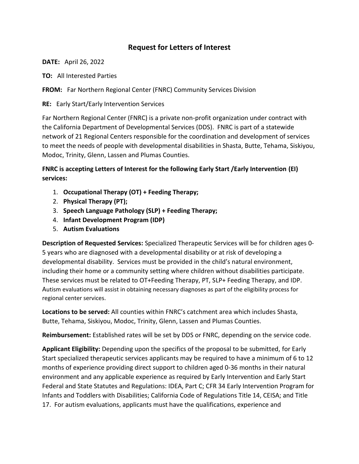## **Request for Letters of Interest**

**DATE:** April 26, 2022

**TO:** All Interested Parties

**FROM:** Far Northern Regional Center (FNRC) Community Services Division

**RE:** Early Start/Early Intervention Services

Far Northern Regional Center (FNRC) is a private non-profit organization under contract with the California Department of Developmental Services (DDS). FNRC is part of a statewide network of 21 Regional Centers responsible for the coordination and development of services to meet the needs of people with developmental disabilities in Shasta, Butte, Tehama, Siskiyou, Modoc, Trinity, Glenn, Lassen and Plumas Counties.

**FNRC is accepting Letters of Interest for the following Early Start /Early Intervention (EI) services:**

- 1. **Occupational Therapy (OT) + Feeding Therapy;**
- 2. **Physical Therapy (PT);**
- 3. **Speech Language Pathology (SLP) + Feeding Therapy;**
- 4. **Infant Development Program (IDP)**
- 5. **Autism Evaluations**

**Description of Requested Services:** Specialized Therapeutic Services will be for children ages 0- 5 years who are diagnosed with a developmental disability or at risk of developing a developmental disability. Services must be provided in the child's natural environment, including their home or a community setting where children without disabilities participate. These services must be related to OT+Feeding Therapy, PT, SLP+ Feeding Therapy, and IDP. Autism evaluations will assist in obtaining necessary diagnoses as part of the eligibility process for regional center services.

**Locations to be served:** All counties within FNRC's catchment area which includes Shasta, Butte, Tehama, Siskiyou, Modoc, Trinity, Glenn, Lassen and Plumas Counties.

**Reimbursement:** Established rates will be set by DDS or FNRC, depending on the service code.

**Applicant Eligibility:** Depending upon the specifics of the proposal to be submitted, for Early Start specialized therapeutic services applicants may be required to have a minimum of 6 to 12 months of experience providing direct support to children aged 0-36 months in their natural environment and any applicable experience as required by Early Intervention and Early Start Federal and State Statutes and Regulations: IDEA, Part C; CFR 34 Early Intervention Program for Infants and Toddlers with Disabilities; California Code of Regulations Title 14, CEISA; and Title 17. For autism evaluations, applicants must have the qualifications, experience and